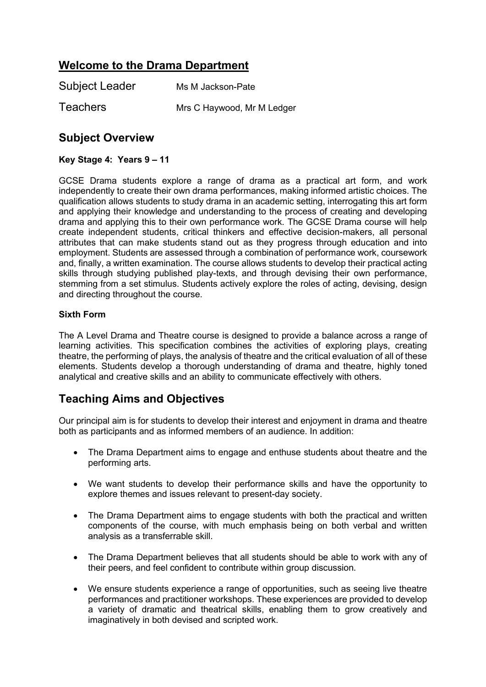# **Welcome to the Drama Department**

| <b>Subject Leader</b> | Ms M Jackson-Pate          |
|-----------------------|----------------------------|
| <b>Teachers</b>       | Mrs C Haywood, Mr M Ledger |

# **Subject Overview**

### **Key Stage 4: Years 9 – 11**

GCSE Drama students explore a range of drama as a practical art form, and work independently to create their own drama performances, making informed artistic choices. The qualification allows students to study drama in an academic setting, interrogating this art form and applying their knowledge and understanding to the process of creating and developing drama and applying this to their own performance work. The GCSE Drama course will help create independent students, critical thinkers and effective decision-makers, all personal attributes that can make students stand out as they progress through education and into employment. Students are assessed through a combination of performance work, coursework and, finally, a written examination. The course allows students to develop their practical acting skills through studying published play-texts, and through devising their own performance, stemming from a set stimulus. Students actively explore the roles of acting, devising, design and directing throughout the course.

#### **Sixth Form**

The A Level Drama and Theatre course is designed to provide a balance across a range of learning activities. This specification combines the activities of exploring plays, creating theatre, the performing of plays, the analysis of theatre and the critical evaluation of all of these elements. Students develop a thorough understanding of drama and theatre, highly toned analytical and creative skills and an ability to communicate effectively with others.

# **Teaching Aims and Objectives**

Our principal aim is for students to develop their interest and enjoyment in drama and theatre both as participants and as informed members of an audience. In addition:

- The Drama Department aims to engage and enthuse students about theatre and the performing arts.
- We want students to develop their performance skills and have the opportunity to explore themes and issues relevant to present-day society.
- The Drama Department aims to engage students with both the practical and written components of the course, with much emphasis being on both verbal and written analysis as a transferrable skill.
- The Drama Department believes that all students should be able to work with any of their peers, and feel confident to contribute within group discussion.
- We ensure students experience a range of opportunities, such as seeing live theatre performances and practitioner workshops. These experiences are provided to develop a variety of dramatic and theatrical skills, enabling them to grow creatively and imaginatively in both devised and scripted work.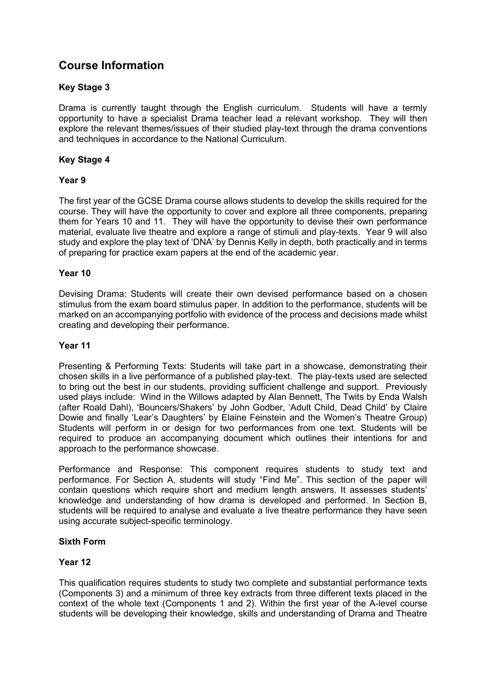# **Course Information**

### **Key Stage 3**

Drama is currently taught through the English curriculum. Students will have a termly opportunity to have a specialist Drama teacher lead a relevant workshop. They will then explore the relevant themes/issues of their studied play-text through the drama conventions and techniques in accordance to the National Curriculum.

### **Key Stage 4**

#### **Year 9**

The first year of the GCSE Drama course allows students to develop the skills required for the course. They will have the opportunity to cover and explore all three components, preparing them for Years 10 and 11. They will have the opportunity to devise their own performance material, evaluate live theatre and explore a range of stimuli and play-texts. Year 9 will also study and explore the play text of 'DNA' by Dennis Kelly in depth, both practically and in terms of preparing for practice exam papers at the end of the academic year.

#### **Year 10**

Devising Drama: Students will create their own devised performance based on a chosen stimulus from the exam board stimulus paper. In addition to the performance, students will be marked on an accompanying portfolio with evidence of the process and decisions made whilst creating and developing their performance.

#### **Year 11**

Presenting & Performing Texts: Students will take part in a showcase, demonstrating their chosen skills in a live performance of a published play-text. The play-texts used are selected to bring out the best in our students, providing sufficient challenge and support. Previously used plays include: Wind in the Willows adapted by Alan Bennett, The Twits by Enda Walsh (after Roald Dahl), 'Bouncers/Shakers' by John Godber, 'Adult Child, Dead Child' by Claire Dowie and finally 'Lear's Daughters' by Elaine Feinstein and the Women's Theatre Group) Students will perform in or design for two performances from one text. Students will be required to produce an accompanying document which outlines their intentions for and approach to the performance showcase.

Performance and Response: This component requires students to study text and performance. For Section A, students will study "Find Me". This section of the paper will contain questions which require short and medium length answers. It assesses students' knowledge and understanding of how drama is developed and performed. In Section B, students will be required to analyse and evaluate a live theatre performance they have seen using accurate subject-specific terminology.

### **Sixth Form**

#### **Year 12**

This qualification requires students to study two complete and substantial performance texts (Components 3) and a minimum of three key extracts from three different texts placed in the context of the whole text (Components 1 and 2). Within the first year of the A-level course students will be developing their knowledge, skills and understanding of Drama and Theatre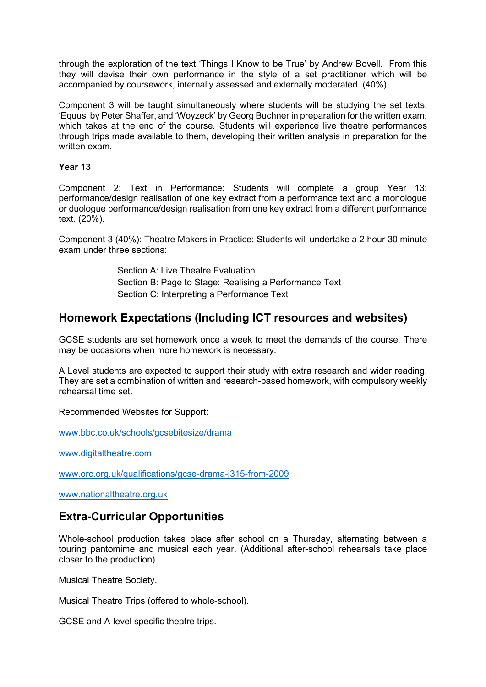through the exploration of the text 'Things I Know to be True' by Andrew Bovell. From this they will devise their own performance in the style of a set practitioner which will be accompanied by coursework, internally assessed and externally moderated. (40%).

Component 3 will be taught simultaneously where students will be studying the set texts: 'Equus' by Peter Shaffer, and 'Woyzeck' by Georg Buchner in preparation for the written exam, which takes at the end of the course. Students will experience live theatre performances through trips made available to them, developing their written analysis in preparation for the written exam.

#### **Year 13**

Component 2: Text in Performance: Students will complete a group Year 13: performance/design realisation of one key extract from a performance text and a monologue or duologue performance/design realisation from one key extract from a different performance text. (20%).

Component 3 (40%): Theatre Makers in Practice: Students will undertake a 2 hour 30 minute exam under three sections:

> Section A: Live Theatre Evaluation Section B: Page to Stage: Realising a Performance Text Section C: Interpreting a Performance Text

## **Homework Expectations (Including ICT resources and websites)**

GCSE students are set homework once a week to meet the demands of the course. There may be occasions when more homework is necessary.

A Level students are expected to support their study with extra research and wider reading. They are set a combination of written and research-based homework, with compulsory weekly rehearsal time set.

Recommended Websites for Support:

[www.bbc.co.uk/schools/gcsebitesize/drama](http://www.bbc.co.uk/schools/gcsebitesize/drama)

[www.digitaltheatre.com](http://www.digitaltheatre.com/)

[www.orc.org.uk/qualifications/gcse-drama-j315-from-2009](http://www.orc.org.uk/qualifications/gcse-drama-j315-from-2009)

[www.nationaltheatre.org.uk](http://www.nationaltheatre.org.uk/)

## **Extra-Curricular Opportunities**

Whole-school production takes place after school on a Thursday, alternating between a touring pantomime and musical each year. (Additional after-school rehearsals take place closer to the production).

Musical Theatre Society.

Musical Theatre Trips (offered to whole-school).

GCSE and A-level specific theatre trips.